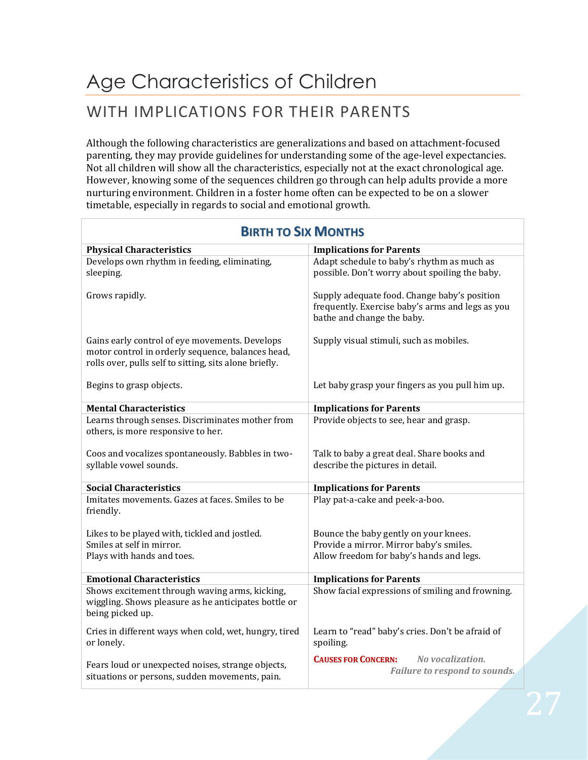## Age Characteristics of Children WITH IMPLICATIONS FOR THEIR PARENTS

Although the following characteristics are generalizations and based on attachment-focused parenting, they may provide guidelines for understanding some of the age-level expectancies. Not all children will show all the characteristics, especially not at the exact chronological age. However, knowing some of the sequences children go through can help adults provide a more nurturing environment. Children in a foster home often can be expected to be on a slower timetable, especially in regards to social and emotional growth*.*

| כחומוטומו גוכ טו חומום                                                                                                                                        |                                                                                                                                |
|---------------------------------------------------------------------------------------------------------------------------------------------------------------|--------------------------------------------------------------------------------------------------------------------------------|
| <b>Physical Characteristics</b>                                                                                                                               | <b>Implications for Parents</b>                                                                                                |
| Develops own rhythm in feeding, eliminating,<br>sleeping.                                                                                                     | Adapt schedule to baby's rhythm as much as<br>possible. Don't worry about spoiling the baby.                                   |
| Grows rapidly.                                                                                                                                                | Supply adequate food. Change baby's position<br>frequently. Exercise baby's arms and legs as you<br>bathe and change the baby. |
| Gains early control of eye movements. Develops<br>motor control in orderly sequence, balances head,<br>rolls over, pulls self to sitting, sits alone briefly. | Supply visual stimuli, such as mobiles.                                                                                        |
| Begins to grasp objects.                                                                                                                                      | Let baby grasp your fingers as you pull him up.                                                                                |
| <b>Mental Characteristics</b>                                                                                                                                 | <b>Implications for Parents</b>                                                                                                |
| Learns through senses. Discriminates mother from<br>others, is more responsive to her.                                                                        | Provide objects to see, hear and grasp.                                                                                        |
| Coos and vocalizes spontaneously. Babbles in two-<br>syllable vowel sounds.                                                                                   | Talk to baby a great deal. Share books and<br>describe the pictures in detail.                                                 |
| <b>Social Characteristics</b>                                                                                                                                 | <b>Implications for Parents</b>                                                                                                |
| Imitates movements. Gazes at faces. Smiles to be<br>friendly.                                                                                                 | Play pat-a-cake and peek-a-boo.                                                                                                |
| Likes to be played with, tickled and jostled.<br>Smiles at self in mirror.<br>Plays with hands and toes.                                                      | Bounce the baby gently on your knees.<br>Provide a mirror. Mirror baby's smiles.<br>Allow freedom for baby's hands and legs.   |
| <b>Emotional Characteristics</b>                                                                                                                              | <b>Implications for Parents</b>                                                                                                |
| Shows excitement through waving arms, kicking,<br>wiggling. Shows pleasure as he anticipates bottle or<br>being picked up.                                    | Show facial expressions of smiling and frowning.                                                                               |
| Cries in different ways when cold, wet, hungry, tired<br>or lonely.                                                                                           | Learn to "read" baby's cries. Don't be afraid of<br>spoiling.                                                                  |
| Fears loud or unexpected noises, strange objects,<br>situations or persons, sudden movements, pain.                                                           | No vocalization.<br><b>CAUSES FOR CONCERN:</b><br>Failure to respond to sounds.                                                |

## **BIRTH TO SIX MONTHS**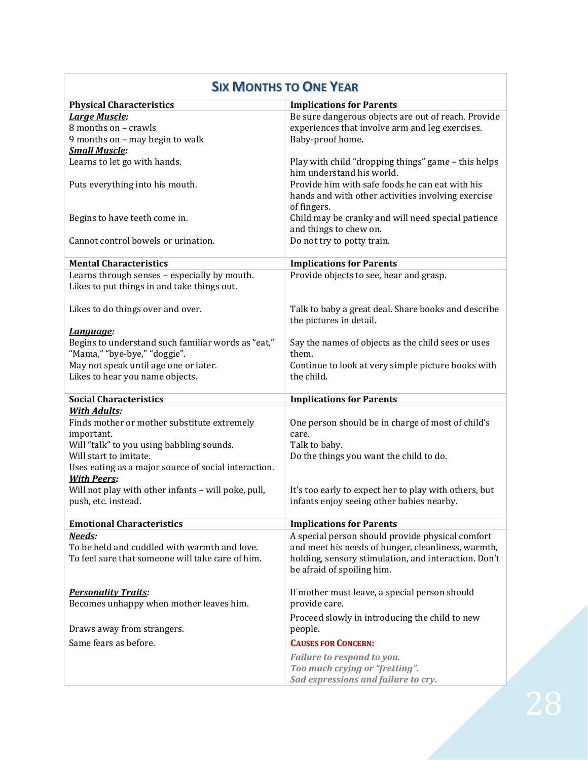| <b>SIX MONTHS TO ONE YEAR</b>                        |                                                                |
|------------------------------------------------------|----------------------------------------------------------------|
| <b>Physical Characteristics</b>                      | <b>Implications for Parents</b>                                |
| <b>Large Muscle:</b>                                 | Be sure dangerous objects are out of reach. Provide            |
| 8 months on - crawls                                 | experiences that involve arm and leg exercises.                |
| 9 months on - may begin to walk                      | Baby-proof home.                                               |
| <b>Small Muscle:</b>                                 |                                                                |
| Learns to let go with hands.                         | Play with child "dropping things" game - this helps            |
|                                                      | him understand his world.                                      |
| Puts everything into his mouth.                      | Provide him with safe foods he can eat with his                |
|                                                      | hands and with other activities involving exercise             |
|                                                      | of fingers.                                                    |
| Begins to have teeth come in.                        | Child may be cranky and will need special patience             |
|                                                      | and things to chew on.                                         |
| Cannot control bowels or urination.                  | Do not try to potty train.                                     |
| <b>Mental Characteristics</b>                        | <b>Implications for Parents</b>                                |
| Learns through senses - especially by mouth.         | Provide objects to see, hear and grasp.                        |
| Likes to put things in and take things out.          |                                                                |
|                                                      |                                                                |
| Likes to do things over and over.                    | Talk to baby a great deal. Share books and describe            |
|                                                      | the pictures in detail.                                        |
| Language:                                            |                                                                |
| Begins to understand such familiar words as "eat,"   | Say the names of objects as the child sees or uses             |
| "Mama," "bye-bye," "doggie".                         | them.                                                          |
| May not speak until age one or later.                | Continue to look at very simple picture books with             |
| Likes to hear you name objects.                      | the child.                                                     |
| <b>Social Characteristics</b>                        | <b>Implications for Parents</b>                                |
| <b>With Adults:</b>                                  |                                                                |
| Finds mother or mother substitute extremely          | One person should be in charge of most of child's              |
| important.                                           | care.                                                          |
| Will "talk" to you using babbling sounds.            | Talk to baby.                                                  |
| Will start to imitate.                               | Do the things you want the child to do.                        |
| Uses eating as a major source of social interaction. |                                                                |
| <b>With Peers:</b>                                   |                                                                |
| Will not play with other infants - will poke, pull,  | It's too early to expect her to play with others, but          |
| push, etc. instead.                                  | infants enjoy seeing other babies nearby.                      |
| <b>Emotional Characteristics</b>                     |                                                                |
|                                                      |                                                                |
|                                                      | <b>Implications for Parents</b>                                |
| Needs:                                               | A special person should provide physical comfort               |
| To be held and cuddled with warmth and love.         | and meet his needs of hunger, cleanliness, warmth,             |
| To feel sure that someone will take care of him.     | holding, sensory stimulation, and interaction. Don't           |
|                                                      | be afraid of spoiling him.                                     |
| <b>Personality Traits:</b>                           |                                                                |
| Becomes unhappy when mother leaves him.              | If mother must leave, a special person should<br>provide care. |
|                                                      |                                                                |
| Draws away from strangers.                           | Proceed slowly in introducing the child to new<br>people.      |
| Same fears as before.                                | <b>CAUSES FOR CONCERN:</b>                                     |
|                                                      |                                                                |
|                                                      | Failure to respond to you.<br>Too much crying or "fretting".   |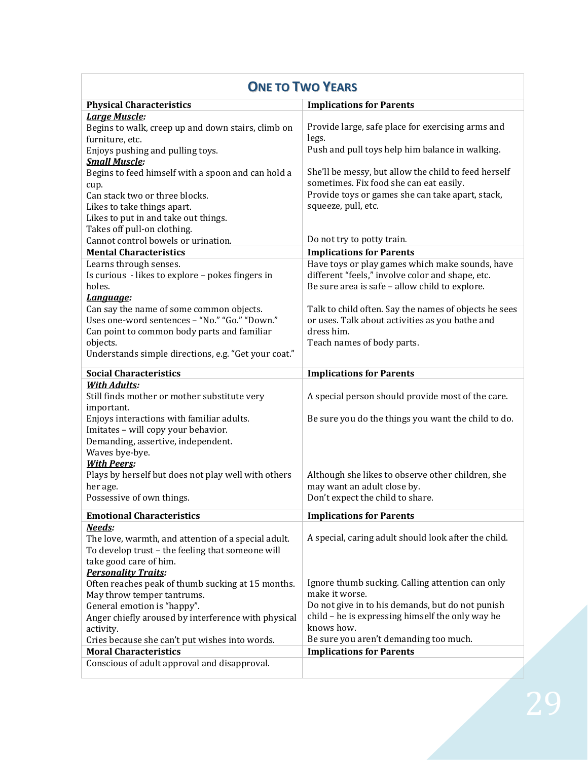| <b>ONE TO TWO YEARS</b>                                                         |                                                       |
|---------------------------------------------------------------------------------|-------------------------------------------------------|
| <b>Physical Characteristics</b>                                                 | <b>Implications for Parents</b>                       |
| Large Muscle:                                                                   |                                                       |
| Begins to walk, creep up and down stairs, climb on                              | Provide large, safe place for exercising arms and     |
| furniture, etc.                                                                 | legs.                                                 |
| Enjoys pushing and pulling toys.                                                | Push and pull toys help him balance in walking.       |
| <b>Small Muscle:</b>                                                            |                                                       |
| Begins to feed himself with a spoon and can hold a                              | She'll be messy, but allow the child to feed herself  |
| cup.                                                                            | sometimes. Fix food she can eat easily.               |
| Can stack two or three blocks.                                                  | Provide toys or games she can take apart, stack,      |
| Likes to take things apart.                                                     | squeeze, pull, etc.                                   |
| Likes to put in and take out things.                                            |                                                       |
| Takes off pull-on clothing.                                                     |                                                       |
| Cannot control bowels or urination.                                             | Do not try to potty train.                            |
| <b>Mental Characteristics</b>                                                   | <b>Implications for Parents</b>                       |
| Learns through senses.                                                          | Have toys or play games which make sounds, have       |
| Is curious - likes to explore - pokes fingers in                                | different "feels," involve color and shape, etc.      |
| holes.                                                                          | Be sure area is safe - allow child to explore.        |
| Language:                                                                       |                                                       |
| Can say the name of some common objects.                                        | Talk to child often. Say the names of objects he sees |
| Uses one-word sentences - "No." "Go." "Down."                                   | or uses. Talk about activities as you bathe and       |
| Can point to common body parts and familiar                                     | dress him.                                            |
| objects.                                                                        | Teach names of body parts.                            |
| Understands simple directions, e.g. "Get your coat."                            |                                                       |
| <b>Social Characteristics</b>                                                   | <b>Implications for Parents</b>                       |
| <b>With Adults:</b>                                                             |                                                       |
| Still finds mother or mother substitute very                                    | A special person should provide most of the care.     |
| important.                                                                      |                                                       |
| Enjoys interactions with familiar adults.                                       | Be sure you do the things you want the child to do.   |
| Imitates - will copy your behavior.                                             |                                                       |
| Demanding, assertive, independent.<br>Waves bye-bye.                            |                                                       |
| <b>With Peers:</b>                                                              |                                                       |
| Plays by herself but does not play well with others                             | Although she likes to observe other children, she     |
| her age.                                                                        | may want an adult close by.                           |
| Possessive of own things.                                                       | Don't expect the child to share.                      |
|                                                                                 |                                                       |
| <b>Emotional Characteristics</b>                                                | <b>Implications for Parents</b>                       |
| Needs:                                                                          | A special, caring adult should look after the child.  |
| The love, warmth, and attention of a special adult.                             |                                                       |
| To develop trust - the feeling that someone will                                |                                                       |
| take good care of him.                                                          |                                                       |
| <b>Personality Traits:</b>                                                      | Ignore thumb sucking. Calling attention can only      |
| Often reaches peak of thumb sucking at 15 months.<br>May throw temper tantrums. | make it worse.                                        |
| General emotion is "happy".                                                     | Do not give in to his demands, but do not punish      |
| Anger chiefly aroused by interference with physical                             | child - he is expressing himself the only way he      |
| activity.                                                                       | knows how.                                            |
| Cries because she can't put wishes into words.                                  | Be sure you aren't demanding too much.                |
| <b>Moral Characteristics</b>                                                    | <b>Implications for Parents</b>                       |
| Conscious of adult approval and disapproval.                                    |                                                       |
|                                                                                 |                                                       |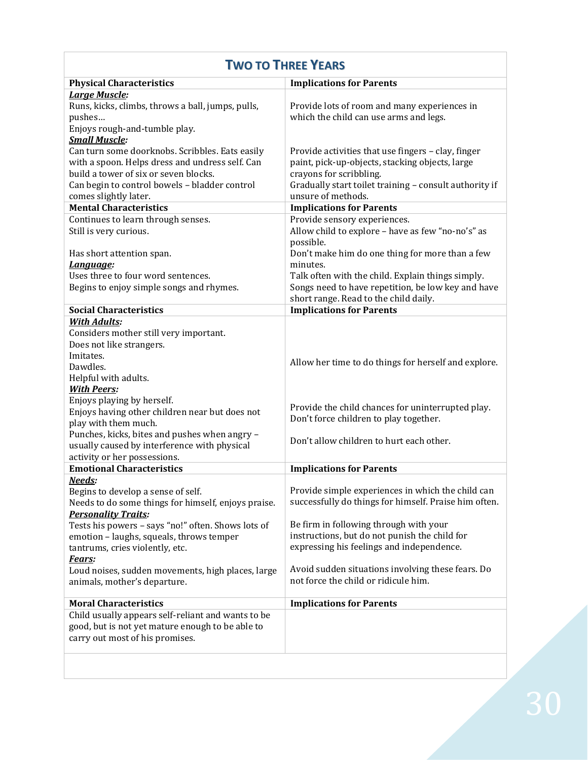| <b>TWO TO THREE YEARS</b>                                                                                                                                                                                                                              |                                                                                                                                                                                                                                                     |  |
|--------------------------------------------------------------------------------------------------------------------------------------------------------------------------------------------------------------------------------------------------------|-----------------------------------------------------------------------------------------------------------------------------------------------------------------------------------------------------------------------------------------------------|--|
| <b>Physical Characteristics</b>                                                                                                                                                                                                                        | <b>Implications for Parents</b>                                                                                                                                                                                                                     |  |
| <b>Large Muscle:</b><br>Runs, kicks, climbs, throws a ball, jumps, pulls,<br>pushes<br>Enjoys rough-and-tumble play.<br><b>Small Muscle:</b>                                                                                                           | Provide lots of room and many experiences in<br>which the child can use arms and legs.                                                                                                                                                              |  |
| Can turn some doorknobs. Scribbles. Eats easily<br>with a spoon. Helps dress and undress self. Can<br>build a tower of six or seven blocks.<br>Can begin to control bowels - bladder control<br>comes slightly later.<br><b>Mental Characteristics</b> | Provide activities that use fingers - clay, finger<br>paint, pick-up-objects, stacking objects, large<br>crayons for scribbling.<br>Gradually start toilet training - consult authority if<br>unsure of methods.<br><b>Implications for Parents</b> |  |
| Continues to learn through senses.                                                                                                                                                                                                                     | Provide sensory experiences.                                                                                                                                                                                                                        |  |
| Still is very curious.<br>Has short attention span.                                                                                                                                                                                                    | Allow child to explore - have as few "no-no's" as<br>possible.<br>Don't make him do one thing for more than a few                                                                                                                                   |  |
| Language:                                                                                                                                                                                                                                              | minutes.                                                                                                                                                                                                                                            |  |
| Uses three to four word sentences.                                                                                                                                                                                                                     | Talk often with the child. Explain things simply.                                                                                                                                                                                                   |  |
| Begins to enjoy simple songs and rhymes.                                                                                                                                                                                                               | Songs need to have repetition, be low key and have<br>short range. Read to the child daily.                                                                                                                                                         |  |
| <b>Social Characteristics</b>                                                                                                                                                                                                                          | <b>Implications for Parents</b>                                                                                                                                                                                                                     |  |
| <b>With Adults:</b><br>Considers mother still very important.<br>Does not like strangers.<br>Imitates.<br>Dawdles.<br>Helpful with adults.<br><b>With Peers:</b>                                                                                       | Allow her time to do things for herself and explore.                                                                                                                                                                                                |  |
| Enjoys playing by herself.<br>Enjoys having other children near but does not<br>play with them much.                                                                                                                                                   | Provide the child chances for uninterrupted play.<br>Don't force children to play together.                                                                                                                                                         |  |
| Punches, kicks, bites and pushes when angry -<br>usually caused by interference with physical<br>activity or her possessions.                                                                                                                          | Don't allow children to hurt each other.                                                                                                                                                                                                            |  |
| <b>Emotional Characteristics</b>                                                                                                                                                                                                                       | <b>Implications for Parents</b>                                                                                                                                                                                                                     |  |
| Needs:<br>Begins to develop a sense of self.<br>Needs to do some things for himself, enjoys praise.<br><b>Personality Traits:</b><br>Tests his powers - says "no!" often. Shows lots of<br>emotion - laughs, squeals, throws temper                    | Provide simple experiences in which the child can<br>successfully do things for himself. Praise him often.<br>Be firm in following through with your<br>instructions, but do not punish the child for                                               |  |
| tantrums, cries violently, etc.                                                                                                                                                                                                                        | expressing his feelings and independence.                                                                                                                                                                                                           |  |
| Fears:                                                                                                                                                                                                                                                 |                                                                                                                                                                                                                                                     |  |
| Loud noises, sudden movements, high places, large<br>animals, mother's departure.                                                                                                                                                                      | Avoid sudden situations involving these fears. Do<br>not force the child or ridicule him.                                                                                                                                                           |  |
| <b>Moral Characteristics</b>                                                                                                                                                                                                                           | <b>Implications for Parents</b>                                                                                                                                                                                                                     |  |
| Child usually appears self-reliant and wants to be<br>good, but is not yet mature enough to be able to<br>carry out most of his promises.                                                                                                              |                                                                                                                                                                                                                                                     |  |
|                                                                                                                                                                                                                                                        |                                                                                                                                                                                                                                                     |  |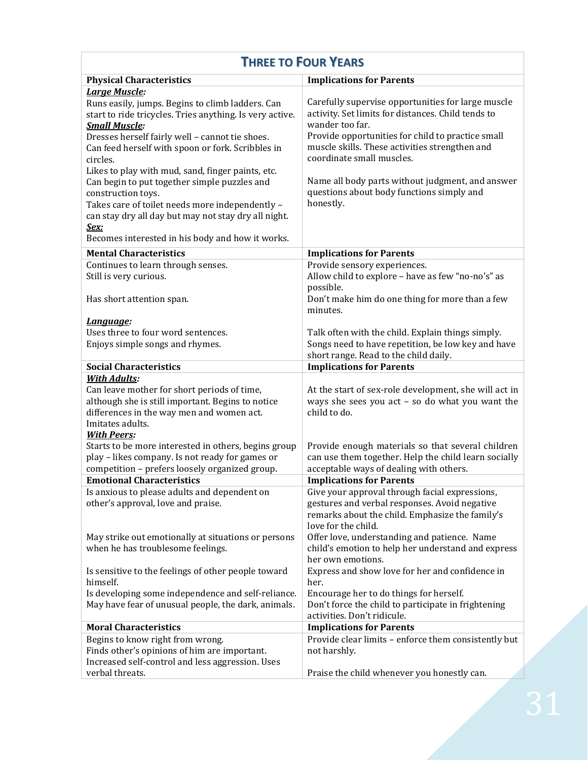| <b>THREE TO FOUR YEARS</b>                                                                              |                                                                                                  |
|---------------------------------------------------------------------------------------------------------|--------------------------------------------------------------------------------------------------|
| <b>Physical Characteristics</b>                                                                         | <b>Implications for Parents</b>                                                                  |
| Large Muscle:                                                                                           |                                                                                                  |
| Runs easily, jumps. Begins to climb ladders. Can                                                        | Carefully supervise opportunities for large muscle                                               |
| start to ride tricycles. Tries anything. Is very active.                                                | activity. Set limits for distances. Child tends to                                               |
| <b>Small Muscle:</b>                                                                                    | wander too far.                                                                                  |
| Dresses herself fairly well - cannot tie shoes.                                                         | Provide opportunities for child to practice small                                                |
| Can feed herself with spoon or fork. Scribbles in                                                       | muscle skills. These activities strengthen and                                                   |
| circles.                                                                                                | coordinate small muscles.                                                                        |
| Likes to play with mud, sand, finger paints, etc.                                                       |                                                                                                  |
| Can begin to put together simple puzzles and                                                            | Name all body parts without judgment, and answer                                                 |
| construction toys.                                                                                      | questions about body functions simply and                                                        |
| Takes care of toilet needs more independently -                                                         | honestly.                                                                                        |
| can stay dry all day but may not stay dry all night.                                                    |                                                                                                  |
| Sex:                                                                                                    |                                                                                                  |
| Becomes interested in his body and how it works.                                                        |                                                                                                  |
| <b>Mental Characteristics</b>                                                                           | <b>Implications for Parents</b>                                                                  |
| Continues to learn through senses.                                                                      | Provide sensory experiences.                                                                     |
| Still is very curious.                                                                                  | Allow child to explore - have as few "no-no's" as                                                |
|                                                                                                         | possible.                                                                                        |
| Has short attention span.                                                                               | Don't make him do one thing for more than a few                                                  |
|                                                                                                         | minutes.                                                                                         |
| Language:                                                                                               |                                                                                                  |
| Uses three to four word sentences.                                                                      | Talk often with the child. Explain things simply.                                                |
| Enjoys simple songs and rhymes.                                                                         | Songs need to have repetition, be low key and have                                               |
|                                                                                                         | short range. Read to the child daily.                                                            |
| <b>Social Characteristics</b>                                                                           | <b>Implications for Parents</b>                                                                  |
| <b>With Adults:</b>                                                                                     |                                                                                                  |
| Can leave mother for short periods of time,                                                             | At the start of sex-role development, she will act in                                            |
| although she is still important. Begins to notice                                                       | ways she sees you act $-$ so do what you want the                                                |
| differences in the way men and women act.                                                               | child to do.                                                                                     |
| Imitates adults.                                                                                        |                                                                                                  |
| <b>With Peers:</b>                                                                                      |                                                                                                  |
| Starts to be more interested in others, begins group<br>play - likes company. Is not ready for games or | Provide enough materials so that several children                                                |
|                                                                                                         | can use them together. Help the child learn socially                                             |
| competition - prefers loosely organized group.                                                          | acceptable ways of dealing with others.<br><b>Implications for Parents</b>                       |
| <b>Emotional Characteristics</b>                                                                        |                                                                                                  |
| Is anxious to please adults and dependent on                                                            | Give your approval through facial expressions,                                                   |
| other's approval, love and praise.                                                                      | gestures and verbal responses. Avoid negative<br>remarks about the child. Emphasize the family's |
|                                                                                                         | love for the child.                                                                              |
| May strike out emotionally at situations or persons                                                     | Offer love, understanding and patience. Name                                                     |
| when he has troublesome feelings.                                                                       | child's emotion to help her understand and express                                               |
|                                                                                                         | her own emotions.                                                                                |
| Is sensitive to the feelings of other people toward                                                     | Express and show love for her and confidence in                                                  |
| himself.                                                                                                | her.                                                                                             |
| Is developing some independence and self-reliance.                                                      | Encourage her to do things for herself.                                                          |
| May have fear of unusual people, the dark, animals.                                                     | Don't force the child to participate in frightening                                              |
|                                                                                                         | activities. Don't ridicule.                                                                      |
| <b>Moral Characteristics</b>                                                                            | <b>Implications for Parents</b>                                                                  |
| Begins to know right from wrong.                                                                        | Provide clear limits - enforce them consistently but                                             |
| Finds other's opinions of him are important.                                                            | not harshly.                                                                                     |
| Increased self-control and less aggression. Uses                                                        |                                                                                                  |
| verbal threats.                                                                                         | Praise the child whenever you honestly can.                                                      |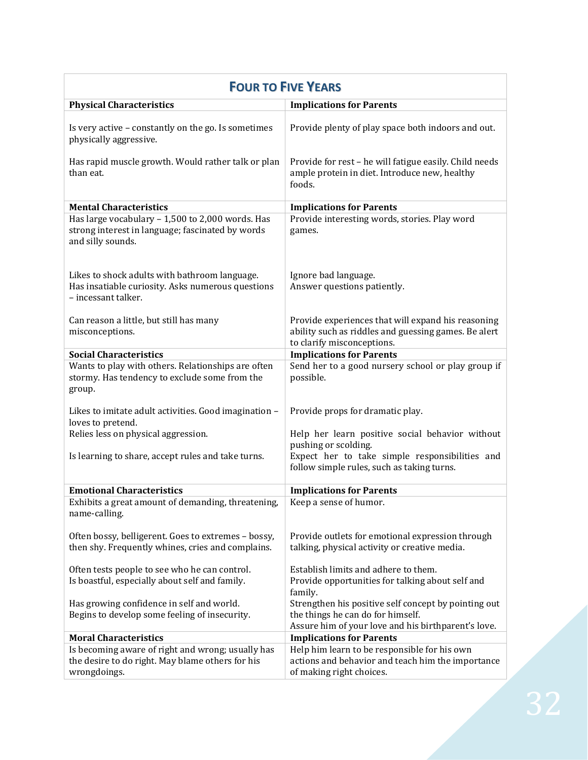| <b>FOUR TO FIVE YEARS</b>                                                                                                 |                                                                                                                                          |
|---------------------------------------------------------------------------------------------------------------------------|------------------------------------------------------------------------------------------------------------------------------------------|
| <b>Physical Characteristics</b>                                                                                           | <b>Implications for Parents</b>                                                                                                          |
| Is very active - constantly on the go. Is sometimes<br>physically aggressive.                                             | Provide plenty of play space both indoors and out.                                                                                       |
| Has rapid muscle growth. Would rather talk or plan<br>than eat.                                                           | Provide for rest - he will fatigue easily. Child needs<br>ample protein in diet. Introduce new, healthy<br>foods.                        |
| <b>Mental Characteristics</b>                                                                                             | <b>Implications for Parents</b>                                                                                                          |
| Has large vocabulary - 1,500 to 2,000 words. Has<br>strong interest in language; fascinated by words<br>and silly sounds. | Provide interesting words, stories. Play word<br>games.                                                                                  |
| Likes to shock adults with bathroom language.<br>Has insatiable curiosity. Asks numerous questions<br>- incessant talker. | Ignore bad language.<br>Answer questions patiently.                                                                                      |
| Can reason a little, but still has many<br>misconceptions.                                                                | Provide experiences that will expand his reasoning<br>ability such as riddles and guessing games. Be alert<br>to clarify misconceptions. |
| <b>Social Characteristics</b>                                                                                             | <b>Implications for Parents</b>                                                                                                          |
| Wants to play with others. Relationships are often<br>stormy. Has tendency to exclude some from the<br>group.             | Send her to a good nursery school or play group if<br>possible.                                                                          |
| Likes to imitate adult activities. Good imagination -<br>loves to pretend.                                                | Provide props for dramatic play.                                                                                                         |
| Relies less on physical aggression.                                                                                       | Help her learn positive social behavior without<br>pushing or scolding.                                                                  |
| Is learning to share, accept rules and take turns.                                                                        | Expect her to take simple responsibilities and<br>follow simple rules, such as taking turns.                                             |
| <b>Emotional Characteristics</b>                                                                                          | <b>Implications for Parents</b>                                                                                                          |
| Exhibits a great amount of demanding, threatening,<br>name-calling.                                                       | Keep a sense of humor.                                                                                                                   |
| Often bossy, belligerent. Goes to extremes - bossy,<br>then shy. Frequently whines, cries and complains.                  | Provide outlets for emotional expression through<br>talking, physical activity or creative media.                                        |
| Often tests people to see who he can control.<br>Is boastful, especially about self and family.                           | Establish limits and adhere to them.<br>Provide opportunities for talking about self and                                                 |
| Has growing confidence in self and world.<br>Begins to develop some feeling of insecurity.                                | family.<br>Strengthen his positive self concept by pointing out<br>the things he can do for himself.                                     |
| <b>Moral Characteristics</b>                                                                                              | Assure him of your love and his birthparent's love.<br><b>Implications for Parents</b>                                                   |
| Is becoming aware of right and wrong; usually has<br>the desire to do right. May blame others for his<br>wrongdoings.     | Help him learn to be responsible for his own<br>actions and behavior and teach him the importance<br>of making right choices.            |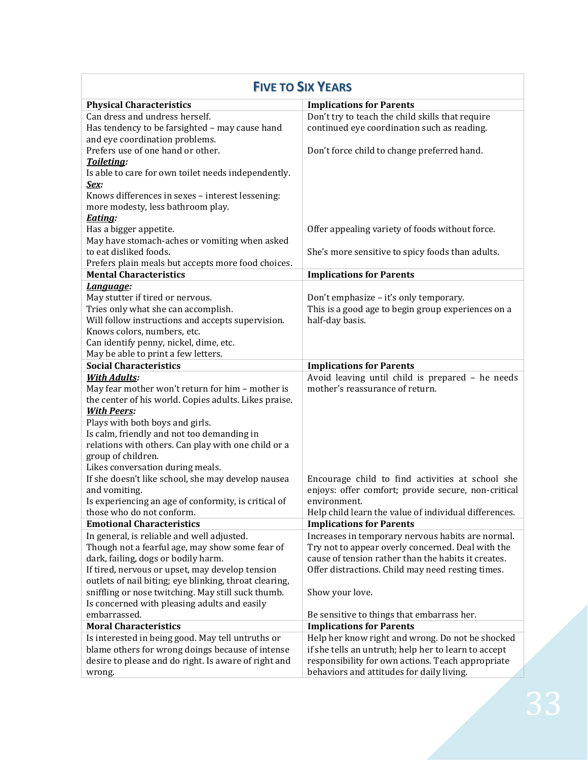| <b>FIVE TO SIX YEARS</b>                               |                                                       |
|--------------------------------------------------------|-------------------------------------------------------|
| <b>Physical Characteristics</b>                        | <b>Implications for Parents</b>                       |
| Can dress and undress herself.                         | Don't try to teach the child skills that require      |
| Has tendency to be farsighted - may cause hand         | continued eye coordination such as reading.           |
| and eye coordination problems.                         |                                                       |
| Prefers use of one hand or other.                      | Don't force child to change preferred hand.           |
| Toileting:                                             |                                                       |
| Is able to care for own toilet needs independently.    |                                                       |
| Sex:                                                   |                                                       |
| Knows differences in sexes - interest lessening:       |                                                       |
| more modesty, less bathroom play.                      |                                                       |
| Eating:                                                |                                                       |
| Has a bigger appetite.                                 | Offer appealing variety of foods without force.       |
| May have stomach-aches or vomiting when asked          |                                                       |
| to eat disliked foods.                                 | She's more sensitive to spicy foods than adults.      |
| Prefers plain meals but accepts more food choices.     |                                                       |
| <b>Mental Characteristics</b>                          | <b>Implications for Parents</b>                       |
| Language:                                              |                                                       |
| May stutter if tired or nervous.                       | Don't emphasize - it's only temporary.                |
| Tries only what she can accomplish.                    | This is a good age to begin group experiences on a    |
| Will follow instructions and accepts supervision.      | half-day basis.                                       |
| Knows colors, numbers, etc.                            |                                                       |
| Can identify penny, nickel, dime, etc.                 |                                                       |
| May be able to print a few letters.                    |                                                       |
| <b>Social Characteristics</b>                          | <b>Implications for Parents</b>                       |
| <b>With Adults:</b>                                    | Avoid leaving until child is prepared - he needs      |
| May fear mother won't return for him - mother is       | mother's reassurance of return.                       |
| the center of his world. Copies adults. Likes praise.  |                                                       |
| <b>With Peers:</b>                                     |                                                       |
| Plays with both boys and girls.                        |                                                       |
| Is calm, friendly and not too demanding in             |                                                       |
| relations with others. Can play with one child or a    |                                                       |
| group of children.                                     |                                                       |
| Likes conversation during meals.                       |                                                       |
| If she doesn't like school, she may develop nausea     | Encourage child to find activities at school she      |
| and vomiting.                                          | enjoys: offer comfort; provide secure, non-critical   |
| Is experiencing an age of conformity, is critical of   | environment.                                          |
| those who do not conform.                              | Help child learn the value of individual differences. |
| <b>Emotional Characteristics</b>                       | <b>Implications for Parents</b>                       |
| In general, is reliable and well adjusted.             | Increases in temporary nervous habits are normal.     |
| Though not a fearful age, may show some fear of        | Try not to appear overly concerned. Deal with the     |
| dark, failing, dogs or bodily harm.                    | cause of tension rather than the habits it creates.   |
| If tired, nervous or upset, may develop tension        | Offer distractions. Child may need resting times.     |
| outlets of nail biting; eye blinking, throat clearing, |                                                       |
| sniffling or nose twitching. May still suck thumb.     | Show your love.                                       |
| Is concerned with pleasing adults and easily           |                                                       |
| embarrassed.                                           | Be sensitive to things that embarrass her.            |
| <b>Moral Characteristics</b>                           | <b>Implications for Parents</b>                       |
| Is interested in being good. May tell untruths or      | Help her know right and wrong. Do not be shocked      |
| blame others for wrong doings because of intense       | if she tells an untruth; help her to learn to accept  |
| desire to please and do right. Is aware of right and   | responsibility for own actions. Teach appropriate     |
| wrong.                                                 | behaviors and attitudes for daily living.             |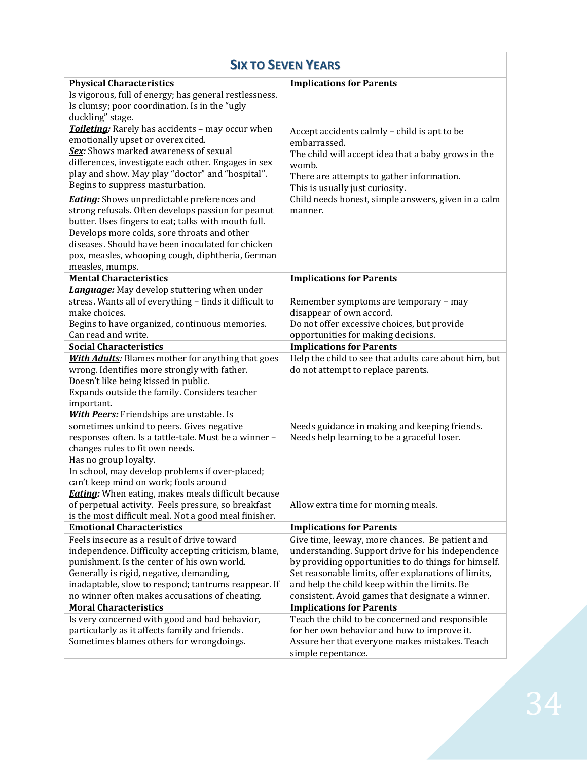| <b>SIX TO SEVEN YEARS</b>                                                                                                                                                                                                                                                                                                                                                                                                                                                                                                                                                                                                                                                                                                                                             |                                                                                                                                                                                                                                                                                                                                                                                                                                                                |
|-----------------------------------------------------------------------------------------------------------------------------------------------------------------------------------------------------------------------------------------------------------------------------------------------------------------------------------------------------------------------------------------------------------------------------------------------------------------------------------------------------------------------------------------------------------------------------------------------------------------------------------------------------------------------------------------------------------------------------------------------------------------------|----------------------------------------------------------------------------------------------------------------------------------------------------------------------------------------------------------------------------------------------------------------------------------------------------------------------------------------------------------------------------------------------------------------------------------------------------------------|
| <b>Physical Characteristics</b>                                                                                                                                                                                                                                                                                                                                                                                                                                                                                                                                                                                                                                                                                                                                       | <b>Implications for Parents</b>                                                                                                                                                                                                                                                                                                                                                                                                                                |
| Is vigorous, full of energy; has general restlessness.<br>Is clumsy; poor coordination. Is in the "ugly<br>duckling" stage.<br>Toileting: Rarely has accidents - may occur when<br>emotionally upset or overexcited.<br>Sex: Shows marked awareness of sexual<br>differences, investigate each other. Engages in sex<br>play and show. May play "doctor" and "hospital".<br>Begins to suppress masturbation.<br><b>Eating:</b> Shows unpredictable preferences and<br>strong refusals. Often develops passion for peanut<br>butter. Uses fingers to eat; talks with mouth full.<br>Develops more colds, sore throats and other<br>diseases. Should have been inoculated for chicken<br>pox, measles, whooping cough, diphtheria, German<br>measles, mumps.            | Accept accidents calmly - child is apt to be<br>embarrassed.<br>The child will accept idea that a baby grows in the<br>womb.<br>There are attempts to gather information.<br>This is usually just curiosity.<br>Child needs honest, simple answers, given in a calm<br>manner.                                                                                                                                                                                 |
| <b>Mental Characteristics</b>                                                                                                                                                                                                                                                                                                                                                                                                                                                                                                                                                                                                                                                                                                                                         | <b>Implications for Parents</b>                                                                                                                                                                                                                                                                                                                                                                                                                                |
| <b>Language:</b> May develop stuttering when under<br>stress. Wants all of everything - finds it difficult to<br>make choices.<br>Begins to have organized, continuous memories.<br>Can read and write.<br><b>Social Characteristics</b><br>With Adults: Blames mother for anything that goes<br>wrong. Identifies more strongly with father.<br>Doesn't like being kissed in public.<br>Expands outside the family. Considers teacher<br>important.<br><b>With Peers:</b> Friendships are unstable. Is<br>sometimes unkind to peers. Gives negative<br>responses often. Is a tattle-tale. Must be a winner -<br>changes rules to fit own needs.<br>Has no group loyalty.<br>In school, may develop problems if over-placed;<br>can't keep mind on work; fools around | Remember symptoms are temporary - may<br>disappear of own accord.<br>Do not offer excessive choices, but provide<br>opportunities for making decisions.<br><b>Implications for Parents</b><br>Help the child to see that adults care about him, but<br>do not attempt to replace parents.<br>Needs guidance in making and keeping friends.<br>Needs help learning to be a graceful loser.                                                                      |
| <b>Eating:</b> When eating, makes meals difficult because<br>of perpetual activity. Feels pressure, so breakfast<br>is the most difficult meal. Not a good meal finisher.                                                                                                                                                                                                                                                                                                                                                                                                                                                                                                                                                                                             | Allow extra time for morning meals.                                                                                                                                                                                                                                                                                                                                                                                                                            |
| <b>Emotional Characteristics</b>                                                                                                                                                                                                                                                                                                                                                                                                                                                                                                                                                                                                                                                                                                                                      | <b>Implications for Parents</b>                                                                                                                                                                                                                                                                                                                                                                                                                                |
| Feels insecure as a result of drive toward<br>independence. Difficulty accepting criticism, blame,<br>punishment. Is the center of his own world.<br>Generally is rigid, negative, demanding,<br>inadaptable, slow to respond; tantrums reappear. If<br>no winner often makes accusations of cheating.<br><b>Moral Characteristics</b><br>Is very concerned with good and bad behavior,<br>particularly as it affects family and friends.                                                                                                                                                                                                                                                                                                                             | Give time, leeway, more chances. Be patient and<br>understanding. Support drive for his independence<br>by providing opportunities to do things for himself.<br>Set reasonable limits, offer explanations of limits,<br>and help the child keep within the limits. Be<br>consistent. Avoid games that designate a winner.<br><b>Implications for Parents</b><br>Teach the child to be concerned and responsible<br>for her own behavior and how to improve it. |
| Sometimes blames others for wrongdoings.                                                                                                                                                                                                                                                                                                                                                                                                                                                                                                                                                                                                                                                                                                                              | Assure her that everyone makes mistakes. Teach<br>simple repentance.                                                                                                                                                                                                                                                                                                                                                                                           |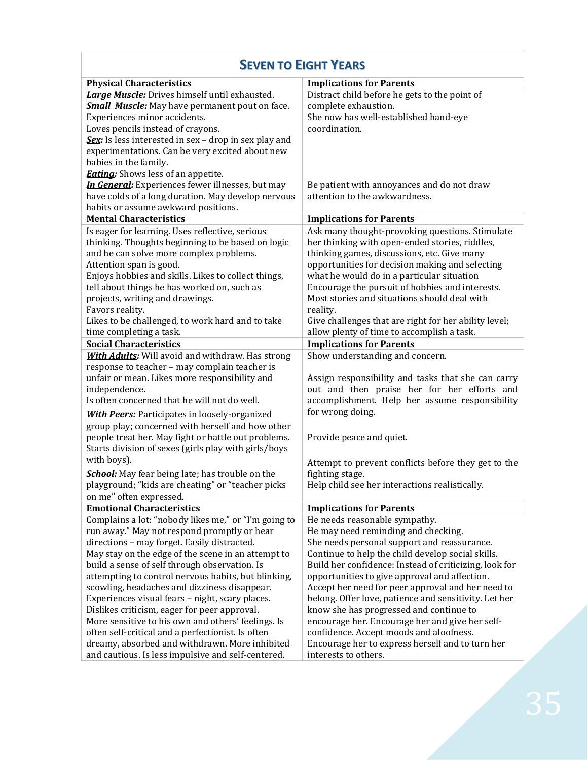## **SEVEN TO EIGHT YEARS**

| <b>Physical Characteristics</b>                         | <b>Implications for Parents</b>                        |
|---------------------------------------------------------|--------------------------------------------------------|
| <b>Large Muscle:</b> Drives himself until exhausted.    | Distract child before he gets to the point of          |
| <b>Small Muscle:</b> May have permanent pout on face.   | complete exhaustion.                                   |
| Experiences minor accidents.                            | She now has well-established hand-eye                  |
| Loves pencils instead of crayons.                       | coordination.                                          |
| Sex: Is less interested in sex - drop in sex play and   |                                                        |
| experimentations. Can be very excited about new         |                                                        |
| babies in the family.                                   |                                                        |
| <b>Eating:</b> Shows less of an appetite.               |                                                        |
| In General: Experiences fewer illnesses, but may        | Be patient with annoyances and do not draw             |
| have colds of a long duration. May develop nervous      | attention to the awkwardness.                          |
| habits or assume awkward positions.                     |                                                        |
| <b>Mental Characteristics</b>                           | <b>Implications for Parents</b>                        |
| Is eager for learning. Uses reflective, serious         | Ask many thought-provoking questions. Stimulate        |
| thinking. Thoughts beginning to be based on logic       | her thinking with open-ended stories, riddles,         |
| and he can solve more complex problems.                 | thinking games, discussions, etc. Give many            |
| Attention span is good.                                 | opportunities for decision making and selecting        |
| Enjoys hobbies and skills. Likes to collect things,     | what he would do in a particular situation             |
| tell about things he has worked on, such as             | Encourage the pursuit of hobbies and interests.        |
| projects, writing and drawings.                         | Most stories and situations should deal with           |
| Favors reality.                                         | reality.                                               |
| Likes to be challenged, to work hard and to take        | Give challenges that are right for her ability level;  |
| time completing a task.                                 | allow plenty of time to accomplish a task.             |
| <b>Social Characteristics</b>                           | <b>Implications for Parents</b>                        |
| <b>With Adults:</b> Will avoid and withdraw. Has strong | Show understanding and concern.                        |
| response to teacher - may complain teacher is           |                                                        |
| unfair or mean. Likes more responsibility and           | Assign responsibility and tasks that she can carry     |
| independence.                                           | out and then praise her for her efforts and            |
| Is often concerned that he will not do well.            | accomplishment. Help her assume responsibility         |
| <b>With Peers:</b> Participates in loosely-organized    | for wrong doing.                                       |
| group play; concerned with herself and how other        |                                                        |
| people treat her. May fight or battle out problems.     |                                                        |
| Starts division of sexes (girls play with girls/boys    | Provide peace and quiet.                               |
| with boys).                                             |                                                        |
|                                                         | Attempt to prevent conflicts before they get to the    |
| School: May fear being late; has trouble on the         | fighting stage.                                        |
| playground; "kids are cheating" or "teacher picks       | Help child see her interactions realistically.         |
| on me" often expressed.                                 |                                                        |
| <b>Emotional Characteristics</b>                        | <b>Implications for Parents</b>                        |
| Complains a lot: "nobody likes me," or "I'm going to    | He needs reasonable sympathy.                          |
| run away." May not respond promptly or hear             | He may need reminding and checking.                    |
| directions - may forget. Easily distracted.             | She needs personal support and reassurance.            |
| May stay on the edge of the scene in an attempt to      | Continue to help the child develop social skills.      |
| build a sense of self through observation. Is           | Build her confidence: Instead of criticizing, look for |
| attempting to control nervous habits, but blinking,     | opportunities to give approval and affection.          |
| scowling, headaches and dizziness disappear.            | Accept her need for peer approval and her need to      |
| Experiences visual fears - night, scary places.         | belong. Offer love, patience and sensitivity. Let her  |
| Dislikes criticism, eager for peer approval.            | know she has progressed and continue to                |
| More sensitive to his own and others' feelings. Is      | encourage her. Encourage her and give her self-        |
| often self-critical and a perfectionist. Is often       | confidence. Accept moods and aloofness.                |
| dreamy, absorbed and withdrawn. More inhibited          | Encourage her to express herself and to turn her       |
| and cautious. Is less impulsive and self-centered.      | interests to others.                                   |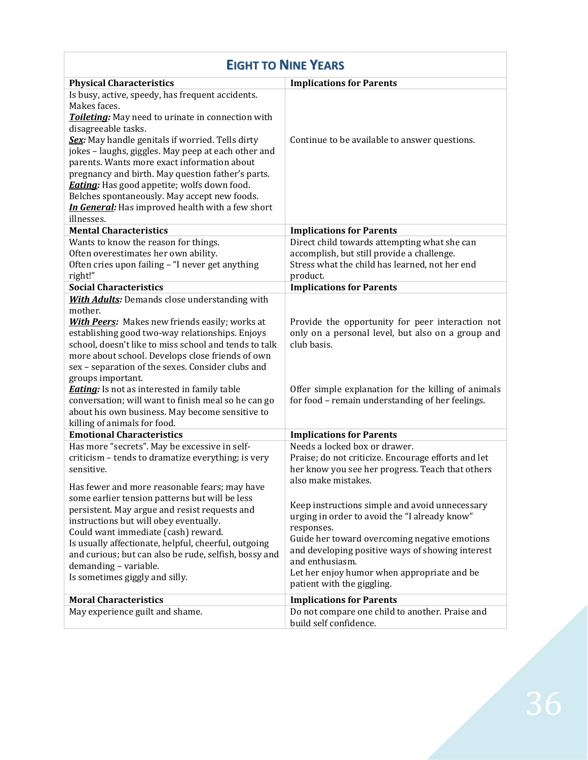| <b>EIGHT TO NINE YEARS</b>                            |                                                                     |
|-------------------------------------------------------|---------------------------------------------------------------------|
| <b>Physical Characteristics</b>                       | <b>Implications for Parents</b>                                     |
| Is busy, active, speedy, has frequent accidents.      |                                                                     |
| Makes faces.                                          |                                                                     |
| Toileting: May need to urinate in connection with     |                                                                     |
| disagreeable tasks.                                   |                                                                     |
| Sex: May handle genitals if worried. Tells dirty      | Continue to be available to answer questions.                       |
| jokes - laughs, giggles. May peep at each other and   |                                                                     |
| parents. Wants more exact information about           |                                                                     |
| pregnancy and birth. May question father's parts.     |                                                                     |
| <b>Eating:</b> Has good appetite; wolfs down food.    |                                                                     |
| Belches spontaneously. May accept new foods.          |                                                                     |
| In General: Has improved health with a few short      |                                                                     |
| illnesses.                                            |                                                                     |
| <b>Mental Characteristics</b>                         | <b>Implications for Parents</b>                                     |
| Wants to know the reason for things.                  | Direct child towards attempting what she can                        |
| Often overestimates her own ability.                  | accomplish, but still provide a challenge.                          |
| Often cries upon failing - "I never get anything      | Stress what the child has learned, not her end<br>product.          |
| right!"<br><b>Social Characteristics</b>              |                                                                     |
| <b>With Adults:</b> Demands close understanding with  | <b>Implications for Parents</b>                                     |
| mother.                                               |                                                                     |
| <b>With Peers:</b> Makes new friends easily; works at | Provide the opportunity for peer interaction not                    |
| establishing good two-way relationships. Enjoys       | only on a personal level, but also on a group and                   |
| school, doesn't like to miss school and tends to talk | club basis.                                                         |
| more about school. Develops close friends of own      |                                                                     |
| sex - separation of the sexes. Consider clubs and     |                                                                     |
| groups important.                                     |                                                                     |
| <b>Eating</b> : Is not as interested in family table  | Offer simple explanation for the killing of animals                 |
| conversation; will want to finish meal so he can go   | for food - remain understanding of her feelings.                    |
| about his own business. May become sensitive to       |                                                                     |
| killing of animals for food.                          |                                                                     |
| <b>Emotional Characteristics</b>                      | <b>Implications for Parents</b>                                     |
| Has more "secrets". May be excessive in self-         | Needs a locked box or drawer.                                       |
| criticism - tends to dramatize everything; is very    | Praise; do not criticize. Encourage efforts and let                 |
| sensitive.                                            | her know you see her progress. Teach that others                    |
| Has fewer and more reasonable fears; may have         | also make mistakes.                                                 |
| some earlier tension patterns but will be less        |                                                                     |
| persistent. May argue and resist requests and         | Keep instructions simple and avoid unnecessary                      |
| instructions but will obey eventually.                | urging in order to avoid the "I already know"                       |
| Could want immediate (cash) reward.                   | responses.                                                          |
| Is usually affectionate, helpful, cheerful, outgoing  | Guide her toward overcoming negative emotions                       |
| and curious; but can also be rude, selfish, bossy and | and developing positive ways of showing interest<br>and enthusiasm. |
| demanding - variable.                                 | Let her enjoy humor when appropriate and be                         |
| Is sometimes giggly and silly.                        | patient with the giggling.                                          |
| <b>Moral Characteristics</b>                          | <b>Implications for Parents</b>                                     |
| May experience guilt and shame.                       | Do not compare one child to another. Praise and                     |
|                                                       | build self confidence.                                              |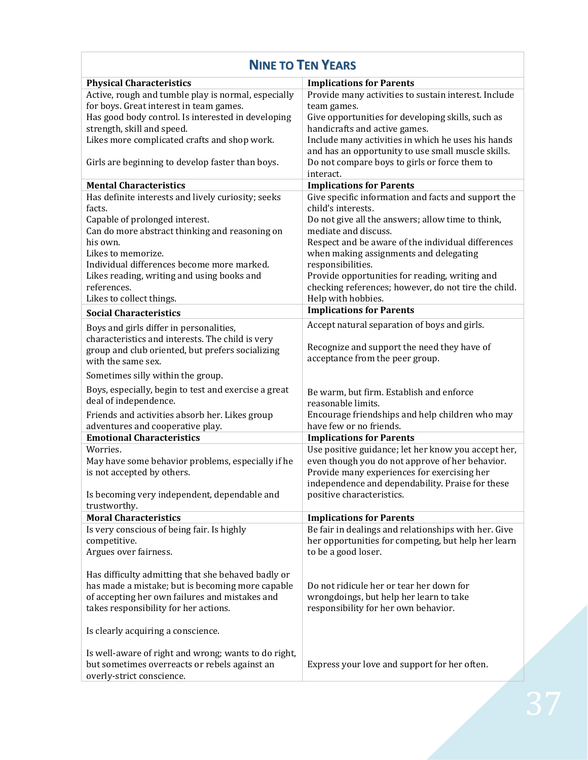| <b>NINE TO TEN YEARS</b>                                                         |                                                                                         |
|----------------------------------------------------------------------------------|-----------------------------------------------------------------------------------------|
| <b>Physical Characteristics</b>                                                  | <b>Implications for Parents</b>                                                         |
| Active, rough and tumble play is normal, especially                              | Provide many activities to sustain interest. Include                                    |
| for boys. Great interest in team games.                                          | team games.                                                                             |
| Has good body control. Is interested in developing<br>strength, skill and speed. | Give opportunities for developing skills, such as<br>handicrafts and active games.      |
| Likes more complicated crafts and shop work.                                     | Include many activities in which he uses his hands                                      |
|                                                                                  | and has an opportunity to use small muscle skills.                                      |
| Girls are beginning to develop faster than boys.                                 | Do not compare boys to girls or force them to                                           |
|                                                                                  | interact.                                                                               |
| <b>Mental Characteristics</b>                                                    | <b>Implications for Parents</b>                                                         |
| Has definite interests and lively curiosity; seeks                               | Give specific information and facts and support the                                     |
| facts.<br>Capable of prolonged interest.                                         | child's interests.<br>Do not give all the answers; allow time to think,                 |
| Can do more abstract thinking and reasoning on                                   | mediate and discuss.                                                                    |
| his own.                                                                         | Respect and be aware of the individual differences                                      |
| Likes to memorize.                                                               | when making assignments and delegating                                                  |
| Individual differences become more marked.                                       | responsibilities.                                                                       |
| Likes reading, writing and using books and                                       | Provide opportunities for reading, writing and                                          |
| references.                                                                      | checking references; however, do not tire the child.                                    |
| Likes to collect things.                                                         | Help with hobbies.                                                                      |
| <b>Social Characteristics</b>                                                    | <b>Implications for Parents</b>                                                         |
| Boys and girls differ in personalities,                                          | Accept natural separation of boys and girls.                                            |
| characteristics and interests. The child is very                                 | Recognize and support the need they have of                                             |
| group and club oriented, but prefers socializing<br>with the same sex.           | acceptance from the peer group.                                                         |
|                                                                                  |                                                                                         |
| Sometimes silly within the group.                                                |                                                                                         |
| Boys, especially, begin to test and exercise a great                             | Be warm, but firm. Establish and enforce                                                |
| deal of independence.                                                            | reasonable limits.                                                                      |
| Friends and activities absorb her. Likes group                                   | Encourage friendships and help children who may<br>have few or no friends.              |
| adventures and cooperative play.<br><b>Emotional Characteristics</b>             | <b>Implications for Parents</b>                                                         |
| Worries.                                                                         | Use positive guidance; let her know you accept her,                                     |
| May have some behavior problems, especially if he                                | even though you do not approve of her behavior.                                         |
| is not accepted by others.                                                       | Provide many experiences for exercising her                                             |
|                                                                                  | independence and dependability. Praise for these                                        |
| Is becoming very independent, dependable and                                     | positive characteristics.                                                               |
| trustworthy.                                                                     |                                                                                         |
| <b>Moral Characteristics</b><br>Is very conscious of being fair. Is highly       | <b>Implications for Parents</b><br>Be fair in dealings and relationships with her. Give |
| competitive.                                                                     | her opportunities for competing, but help her learn                                     |
| Argues over fairness.                                                            | to be a good loser.                                                                     |
|                                                                                  |                                                                                         |
| Has difficulty admitting that she behaved badly or                               |                                                                                         |
| has made a mistake; but is becoming more capable                                 | Do not ridicule her or tear her down for                                                |
| of accepting her own failures and mistakes and                                   | wrongdoings, but help her learn to take                                                 |
| takes responsibility for her actions.                                            | responsibility for her own behavior.                                                    |
| Is clearly acquiring a conscience.                                               |                                                                                         |
| Is well-aware of right and wrong; wants to do right,                             |                                                                                         |
| but sometimes overreacts or rebels against an                                    | Express your love and support for her often.                                            |
| overly-strict conscience.                                                        |                                                                                         |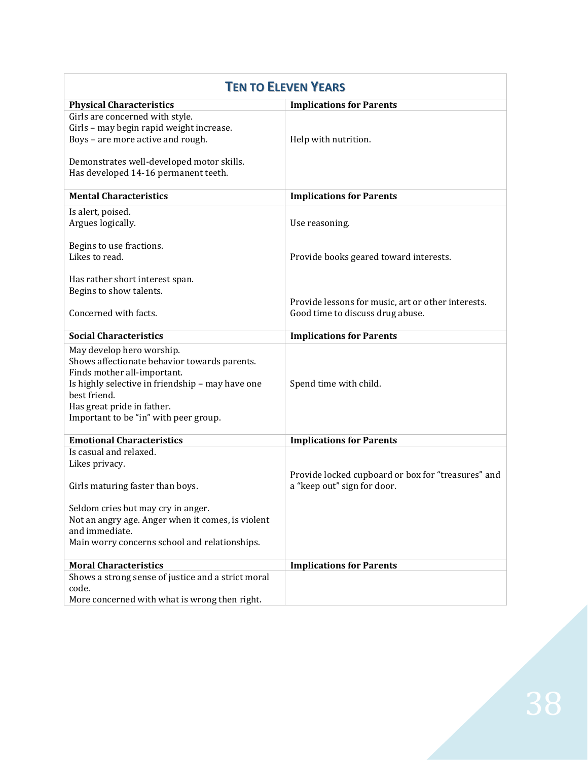| <b>TEN TO ELEVEN YEARS</b>                                                                                                                                                                                                                          |                                                                                        |
|-----------------------------------------------------------------------------------------------------------------------------------------------------------------------------------------------------------------------------------------------------|----------------------------------------------------------------------------------------|
| <b>Physical Characteristics</b>                                                                                                                                                                                                                     | <b>Implications for Parents</b>                                                        |
| Girls are concerned with style.<br>Girls - may begin rapid weight increase.<br>Boys - are more active and rough.<br>Demonstrates well-developed motor skills.                                                                                       | Help with nutrition.                                                                   |
| Has developed 14-16 permanent teeth.                                                                                                                                                                                                                |                                                                                        |
| <b>Mental Characteristics</b>                                                                                                                                                                                                                       | <b>Implications for Parents</b>                                                        |
| Is alert, poised.<br>Argues logically.                                                                                                                                                                                                              | Use reasoning.                                                                         |
| Begins to use fractions.<br>Likes to read.                                                                                                                                                                                                          | Provide books geared toward interests.                                                 |
| Has rather short interest span.<br>Begins to show talents.                                                                                                                                                                                          |                                                                                        |
| Concerned with facts.                                                                                                                                                                                                                               | Provide lessons for music, art or other interests.<br>Good time to discuss drug abuse. |
| <b>Social Characteristics</b>                                                                                                                                                                                                                       | <b>Implications for Parents</b>                                                        |
| May develop hero worship.<br>Shows affectionate behavior towards parents.<br>Finds mother all-important.<br>Is highly selective in friendship - may have one<br>best friend.<br>Has great pride in father.<br>Important to be "in" with peer group. | Spend time with child.                                                                 |
| <b>Emotional Characteristics</b>                                                                                                                                                                                                                    | <b>Implications for Parents</b>                                                        |
| Is casual and relaxed.<br>Likes privacy.                                                                                                                                                                                                            | Provide locked cupboard or box for "treasures" and                                     |
| Girls maturing faster than boys.                                                                                                                                                                                                                    | a "keep out" sign for door.                                                            |
| Seldom cries but may cry in anger.                                                                                                                                                                                                                  |                                                                                        |
| Not an angry age. Anger when it comes, is violent<br>and immediate.                                                                                                                                                                                 |                                                                                        |
| Main worry concerns school and relationships.                                                                                                                                                                                                       |                                                                                        |
| <b>Moral Characteristics</b>                                                                                                                                                                                                                        | <b>Implications for Parents</b>                                                        |
| Shows a strong sense of justice and a strict moral<br>code.                                                                                                                                                                                         |                                                                                        |
| More concerned with what is wrong then right.                                                                                                                                                                                                       |                                                                                        |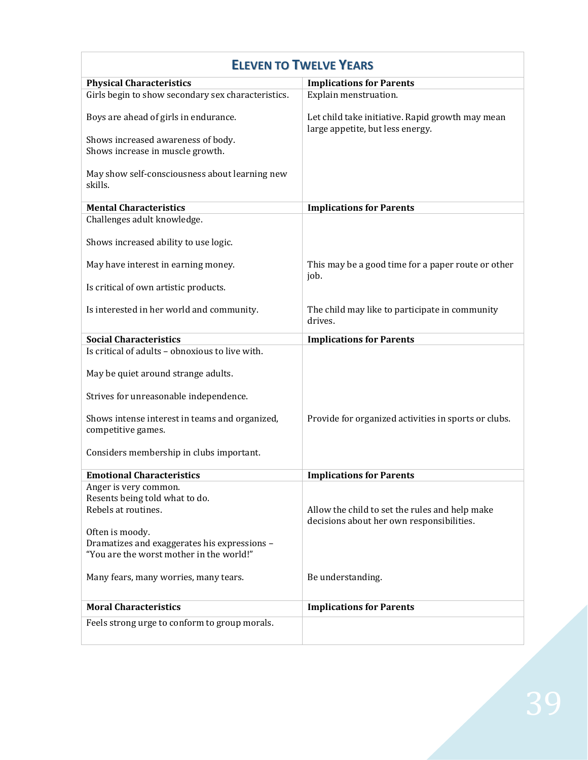| <b>ELEVEN TO TWELVE YEARS</b>                                                  |                                                                                             |
|--------------------------------------------------------------------------------|---------------------------------------------------------------------------------------------|
| <b>Physical Characteristics</b>                                                | <b>Implications for Parents</b>                                                             |
| Girls begin to show secondary sex characteristics.                             | Explain menstruation.                                                                       |
| Boys are ahead of girls in endurance.                                          | Let child take initiative. Rapid growth may mean<br>large appetite, but less energy.        |
| Shows increased awareness of body.<br>Shows increase in muscle growth.         |                                                                                             |
| May show self-consciousness about learning new<br>skills.                      |                                                                                             |
| <b>Mental Characteristics</b>                                                  | <b>Implications for Parents</b>                                                             |
| Challenges adult knowledge.                                                    |                                                                                             |
| Shows increased ability to use logic.                                          |                                                                                             |
| May have interest in earning money.                                            | This may be a good time for a paper route or other<br>job.                                  |
| Is critical of own artistic products.                                          |                                                                                             |
| Is interested in her world and community.                                      | The child may like to participate in community<br>drives.                                   |
| <b>Social Characteristics</b>                                                  | <b>Implications for Parents</b>                                                             |
| Is critical of adults - obnoxious to live with.                                |                                                                                             |
| May be quiet around strange adults.                                            |                                                                                             |
| Strives for unreasonable independence.                                         |                                                                                             |
| Shows intense interest in teams and organized,<br>competitive games.           | Provide for organized activities in sports or clubs.                                        |
| Considers membership in clubs important.                                       |                                                                                             |
| <b>Emotional Characteristics</b>                                               | <b>Implications for Parents</b>                                                             |
| Anger is very common.<br>Resents being told what to do.<br>Rebels at routines. | Allow the child to set the rules and help make<br>decisions about her own responsibilities. |
| Often is moody.                                                                |                                                                                             |
| Dramatizes and exaggerates his expressions -                                   |                                                                                             |
| "You are the worst mother in the world!"                                       |                                                                                             |
| Many fears, many worries, many tears.                                          | Be understanding.                                                                           |
| <b>Moral Characteristics</b>                                                   | <b>Implications for Parents</b>                                                             |
| Feels strong urge to conform to group morals.                                  |                                                                                             |